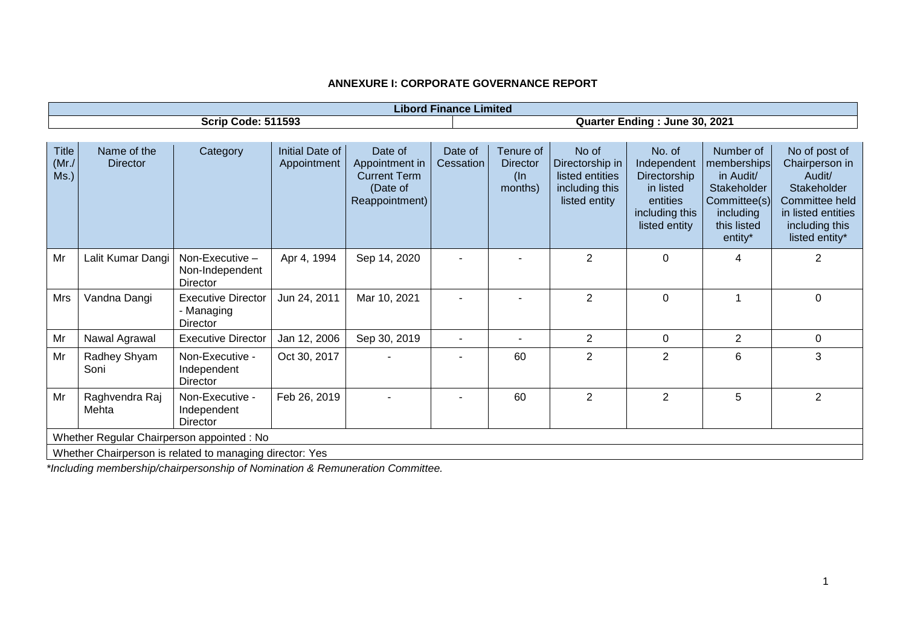| <b>Libord Finance Limited</b>                            |                                |                                                            |                                |                                                                                |                               |                                                   |                                                                                |                                                                                                   |                                                                                                             |                                                                                                                                      |
|----------------------------------------------------------|--------------------------------|------------------------------------------------------------|--------------------------------|--------------------------------------------------------------------------------|-------------------------------|---------------------------------------------------|--------------------------------------------------------------------------------|---------------------------------------------------------------------------------------------------|-------------------------------------------------------------------------------------------------------------|--------------------------------------------------------------------------------------------------------------------------------------|
| <b>Scrip Code: 511593</b>                                |                                |                                                            |                                |                                                                                | Quarter Ending: June 30, 2021 |                                                   |                                                                                |                                                                                                   |                                                                                                             |                                                                                                                                      |
|                                                          |                                |                                                            |                                |                                                                                |                               |                                                   |                                                                                |                                                                                                   |                                                                                                             |                                                                                                                                      |
| <b>Title</b><br>(Mr./)<br>Ms.)                           | Name of the<br><b>Director</b> | Category                                                   | Initial Date of<br>Appointment | Date of<br>Appointment in<br><b>Current Term</b><br>(Date of<br>Reappointment) | Date of<br>Cessation          | Tenure of<br><b>Director</b><br>$(\ln$<br>months) | No of<br>Directorship in<br>listed entities<br>including this<br>listed entity | No. of<br>Independent<br>Directorship<br>in listed<br>entities<br>including this<br>listed entity | Number of<br>memberships<br>in Audit/<br>Stakeholder<br>Committee(s)<br>including<br>this listed<br>entity* | No of post of<br>Chairperson in<br>Audit/<br>Stakeholder<br>Committee held<br>in listed entities<br>including this<br>listed entity* |
| Mr                                                       | Lalit Kumar Dangi              | Non-Executive -<br>Non-Independent<br>Director             | Apr 4, 1994                    | Sep 14, 2020                                                                   |                               |                                                   | $\overline{2}$                                                                 | $\Omega$                                                                                          | 4                                                                                                           | $\overline{2}$                                                                                                                       |
| Mrs                                                      | Vandna Dangi                   | <b>Executive Director</b><br>- Managing<br><b>Director</b> | Jun 24, 2011                   | Mar 10, 2021                                                                   |                               |                                                   | $\overline{2}$                                                                 | $\mathbf 0$                                                                                       |                                                                                                             | $\mathbf 0$                                                                                                                          |
| Mr                                                       | Nawal Agrawal                  | <b>Executive Director</b>                                  | Jan 12, 2006                   | Sep 30, 2019                                                                   | -                             | $\overline{\phantom{a}}$                          | $\overline{2}$                                                                 | $\mathbf{0}$                                                                                      | 2                                                                                                           | 0                                                                                                                                    |
| Mr                                                       | Radhey Shyam<br>Soni           | Non-Executive -<br>Independent<br>Director                 | Oct 30, 2017                   |                                                                                |                               | 60                                                | $\overline{2}$                                                                 | $\overline{2}$                                                                                    | 6                                                                                                           | 3                                                                                                                                    |
| Mr                                                       | Raghvendra Raj<br>Mehta        | Non-Executive -<br>Independent<br>Director                 | Feb 26, 2019                   |                                                                                |                               | 60                                                | 2                                                                              | $\overline{2}$                                                                                    | 5                                                                                                           | $\overline{2}$                                                                                                                       |
| Whether Regular Chairperson appointed : No               |                                |                                                            |                                |                                                                                |                               |                                                   |                                                                                |                                                                                                   |                                                                                                             |                                                                                                                                      |
| Whether Chairperson is related to managing director: Yes |                                |                                                            |                                |                                                                                |                               |                                                   |                                                                                |                                                                                                   |                                                                                                             |                                                                                                                                      |

*\*Including membership/chairpersonship of Nomination & Remuneration Committee.*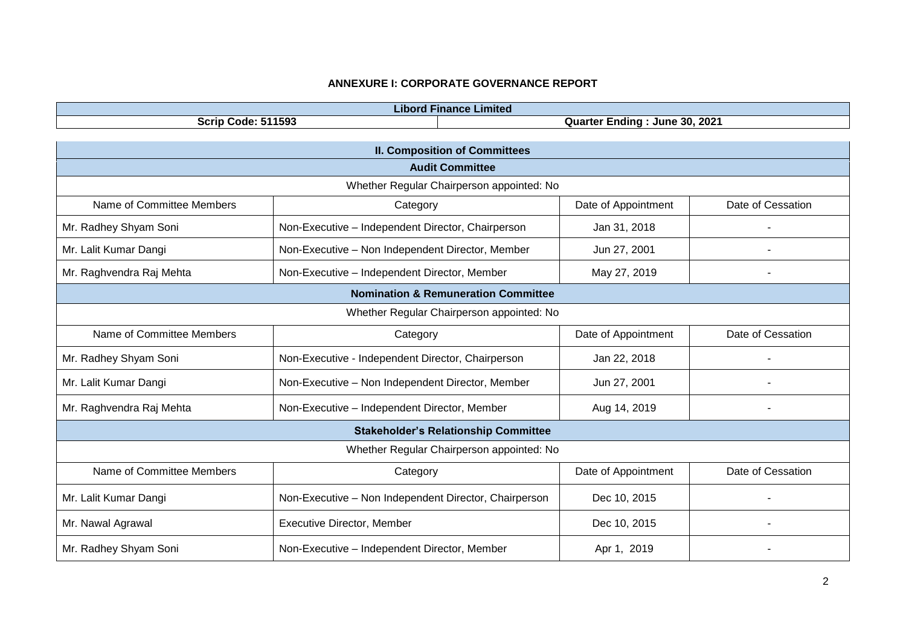| <b>Libord Finance Limited</b>                  |                                                       |                     |                   |  |  |  |  |
|------------------------------------------------|-------------------------------------------------------|---------------------|-------------------|--|--|--|--|
| <b>Scrip Code: 511593</b>                      | Quarter Ending: June 30, 2021                         |                     |                   |  |  |  |  |
|                                                |                                                       |                     |                   |  |  |  |  |
| <b>II. Composition of Committees</b>           |                                                       |                     |                   |  |  |  |  |
|                                                | <b>Audit Committee</b>                                |                     |                   |  |  |  |  |
| Whether Regular Chairperson appointed: No      |                                                       |                     |                   |  |  |  |  |
| Name of Committee Members                      | Category                                              | Date of Appointment | Date of Cessation |  |  |  |  |
| Mr. Radhey Shyam Soni                          | Non-Executive - Independent Director, Chairperson     | Jan 31, 2018        |                   |  |  |  |  |
| Mr. Lalit Kumar Dangi                          | Non-Executive - Non Independent Director, Member      | Jun 27, 2001        |                   |  |  |  |  |
| Mr. Raghvendra Raj Mehta                       | Non-Executive - Independent Director, Member          | May 27, 2019        |                   |  |  |  |  |
| <b>Nomination &amp; Remuneration Committee</b> |                                                       |                     |                   |  |  |  |  |
| Whether Regular Chairperson appointed: No      |                                                       |                     |                   |  |  |  |  |
| Name of Committee Members                      | Category                                              | Date of Appointment | Date of Cessation |  |  |  |  |
| Mr. Radhey Shyam Soni                          | Non-Executive - Independent Director, Chairperson     | Jan 22, 2018        |                   |  |  |  |  |
| Mr. Lalit Kumar Dangi                          | Non-Executive - Non Independent Director, Member      | Jun 27, 2001        |                   |  |  |  |  |
| Mr. Raghvendra Raj Mehta                       | Non-Executive - Independent Director, Member          | Aug 14, 2019        |                   |  |  |  |  |
|                                                | <b>Stakeholder's Relationship Committee</b>           |                     |                   |  |  |  |  |
| Whether Regular Chairperson appointed: No      |                                                       |                     |                   |  |  |  |  |
| Name of Committee Members                      | Category                                              | Date of Appointment | Date of Cessation |  |  |  |  |
| Mr. Lalit Kumar Dangi                          | Non-Executive - Non Independent Director, Chairperson | Dec 10, 2015        |                   |  |  |  |  |
| Mr. Nawal Agrawal                              | Executive Director, Member                            | Dec 10, 2015        |                   |  |  |  |  |
| Mr. Radhey Shyam Soni                          | Non-Executive - Independent Director, Member          | Apr 1, 2019         |                   |  |  |  |  |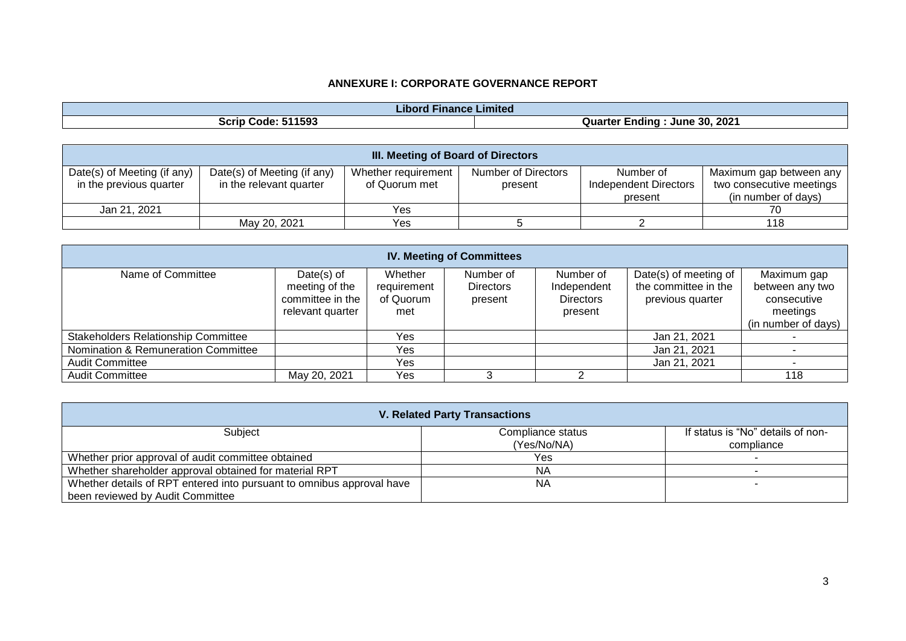| .<br>Limited<br><b>Hinance</b><br>lbor |                                             |  |  |  |
|----------------------------------------|---------------------------------------------|--|--|--|
| 11593<br>Scrip<br>Code<br>$\cdot$ .    | 2021<br>30<br>June<br>≞ndınơ<br>Quar<br>лег |  |  |  |

| <b>III. Meeting of Board of Directors</b> |                             |                     |                     |                              |                          |  |  |  |
|-------------------------------------------|-----------------------------|---------------------|---------------------|------------------------------|--------------------------|--|--|--|
| Date(s) of Meeting (if any)               | Date(s) of Meeting (if any) | Whether requirement | Number of Directors | Number of                    | Maximum gap between any  |  |  |  |
| in the previous quarter                   | in the relevant quarter     | of Quorum met       | present             | <b>Independent Directors</b> | two consecutive meetings |  |  |  |
|                                           |                             |                     |                     | present                      | (in number of days)      |  |  |  |
| Jan 21, 2021                              |                             | Yes                 |                     |                              |                          |  |  |  |
|                                           | May 20, 2021                | Yes                 |                     |                              | 118                      |  |  |  |

| <b>IV. Meeting of Committees</b>           |                                                                         |                                            |                                          |                                                         |                                                                   |                                                                                  |  |  |
|--------------------------------------------|-------------------------------------------------------------------------|--------------------------------------------|------------------------------------------|---------------------------------------------------------|-------------------------------------------------------------------|----------------------------------------------------------------------------------|--|--|
| Name of Committee                          | Date $(s)$ of<br>meeting of the<br>committee in the<br>relevant quarter | Whether<br>requirement<br>of Quorum<br>met | Number of<br><b>Directors</b><br>present | Number of<br>Independent<br><b>Directors</b><br>present | Date(s) of meeting of<br>the committee in the<br>previous quarter | Maximum gap<br>between any two<br>consecutive<br>meetings<br>(in number of days) |  |  |
| <b>Stakeholders Relationship Committee</b> |                                                                         | Yes                                        |                                          |                                                         | Jan 21, 2021                                                      |                                                                                  |  |  |
| Nomination & Remuneration Committee        |                                                                         | Yes                                        |                                          |                                                         | Jan 21, 2021                                                      |                                                                                  |  |  |
| <b>Audit Committee</b>                     |                                                                         | Yes                                        |                                          |                                                         | Jan 21, 2021                                                      |                                                                                  |  |  |
| <b>Audit Committee</b>                     | May 20, 2021                                                            | Yes                                        |                                          |                                                         |                                                                   | 118                                                                              |  |  |

| <b>V. Related Party Transactions</b>                                  |                   |                                   |  |  |  |  |
|-----------------------------------------------------------------------|-------------------|-----------------------------------|--|--|--|--|
| Subject                                                               | Compliance status | If status is "No" details of non- |  |  |  |  |
|                                                                       | (Yes/No/NA)       | compliance                        |  |  |  |  |
| Whether prior approval of audit committee obtained                    | Yes               |                                   |  |  |  |  |
| Whether shareholder approval obtained for material RPT                | <b>NA</b>         |                                   |  |  |  |  |
| Whether details of RPT entered into pursuant to omnibus approval have | <b>NA</b>         |                                   |  |  |  |  |
| been reviewed by Audit Committee                                      |                   |                                   |  |  |  |  |